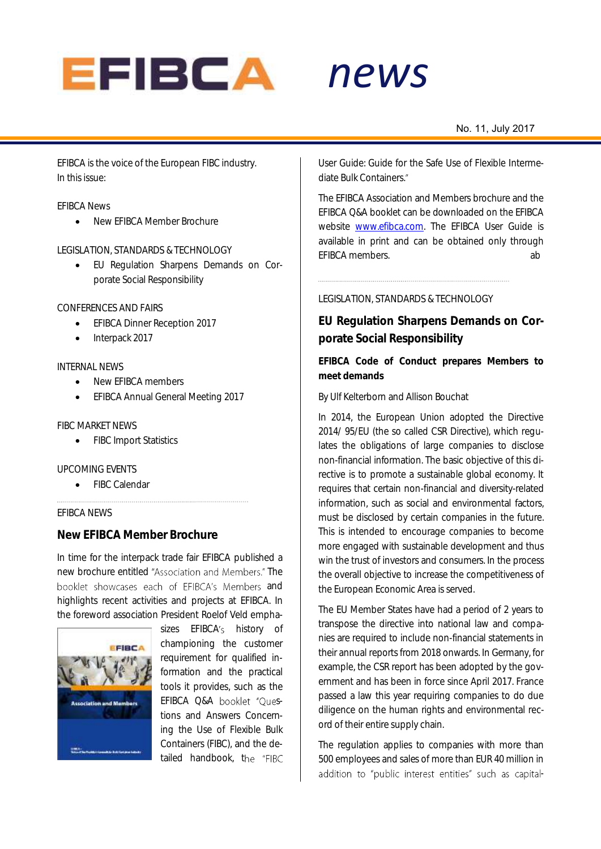

# *news*

#### No. 11, July 2017

EFIBCA is the voice of the European FIBC industry. In this issue:

#### EFIBCA News

New EFIBCA Member Brochure

#### LEGISLATION, STANDARDS & TECHNOLOGY

 EU Regulation Sharpens Demands on Corporate Social Responsibility

#### CONFERENCES AND FAIRS

- **•** EFIBCA Dinner Reception 2017
- Interpack 2017

#### INTERNAL NEWS

- New EFIBCA members
- **•** EFIBCA Annual General Meeting 2017

#### FIBC MARKET NEWS

• FIBC Import Statistics

#### UPCOMING EVENTS

• FIBC Calendar

#### EFIBCA NEWS

### **New EFIBCA Member Brochure**

In time for the interpack trade fair EFIBCA published a new brochure entitled "Association and Members." The booklet showcases each of EFIBCA's Members and highlights recent activities and projects at EFIBCA. In the foreword association President Roelof Veld empha-



sizes EFIBCA's history of championing the customer requirement for qualified information and the practical tools it provides, such as the EFIBCA Q&A booklet "Questions and Answers Concerning the Use of Flexible Bulk Containers (FIBC), and the detailed handbook, the "FIBC

*alert* User Guide: Guide for the Safe Use of Flexible Intermediate Bulk Containers.

The EFIBCA Association and Members brochure and the EFIBCA Q&A booklet can be downloaded on the EFIBCA website [www.efibca.com.](http://www.efibca.com/) The EFIBCA User Guide is available in print and can be obtained only through EFIBCA members. ab

#### LEGISLATION, STANDARDS & TECHNOLOGY

**EU Regulation Sharpens Demands on Corporate Social Responsibility** 

**EFIBCA Code of Conduct prepares Members to meet demands**

By Ulf Kelterborn and Allison Bouchat

In 2014, the European Union adopted the Directive 2014/ 95/EU (the so called CSR Directive), which regulates the obligations of large companies to disclose non-financial information. The basic objective of this directive is to promote a sustainable global economy. It requires that certain non-financial and diversity-related information, such as social and environmental factors, must be disclosed by certain companies in the future. This is intended to encourage companies to become more engaged with sustainable development and thus win the trust of investors and consumers. In the process the overall objective to increase the competitiveness of the European Economic Area is served.

The EU Member States have had a period of 2 years to transpose the directive into national law and companies are required to include non-financial statements in their annual reports from 2018 onwards. In Germany, for example, the CSR report has been adopted by the government and has been in force since April 2017. France passed a law this year requiring companies to do due diligence on the human rights and environmental record of their entire supply chain.

The regulation applies to companies with more than 500 employees and sales of more than EUR 40 million in addition to "public interest entities" such as capital-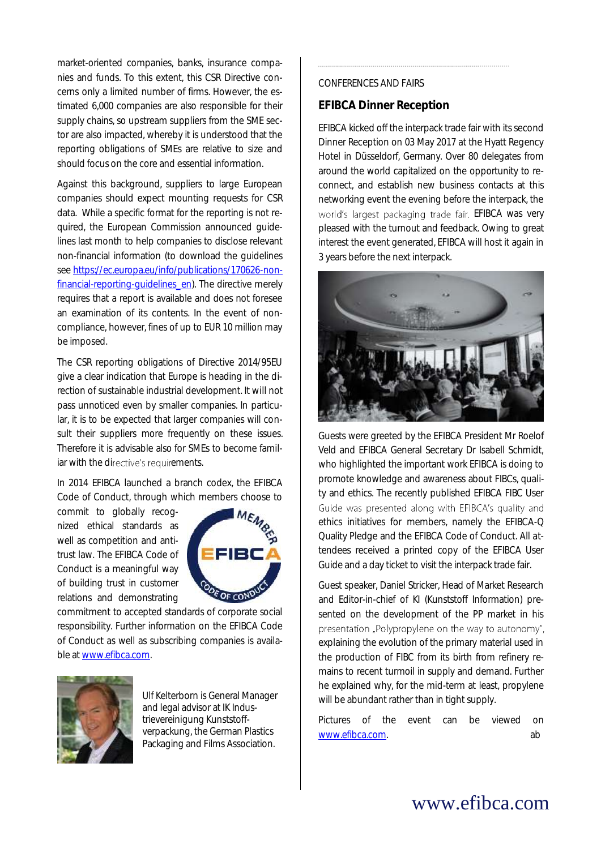market-oriented companies, banks, insurance companies and funds. To this extent, this CSR Directive concerns only a limited number of firms. However, the estimated 6,000 companies are also responsible for their supply chains, so upstream suppliers from the SME sector are also impacted, whereby it is understood that the reporting obligations of SMEs are relative to size and should focus on the core and essential information.

Against this background, suppliers to large European companies should expect mounting requests for CSR data. While a specific format for the reporting is not required, the European Commission announced guidelines last month to help companies to disclose relevant non-financial information (to download the guidelines se[e https://ec.europa.eu/info/publications/170626-non](https://ec.europa.eu/info/publications/170626-non-financial-reporting-guidelines_en)financial-reporting-quidelines\_en). The directive merely requires that a report is available and does not foresee an examination of its contents. In the event of noncompliance, however, fines of up to EUR 10 million may be imposed.

The CSR reporting obligations of Directive 2014/95EU give a clear indication that Europe is heading in the direction of sustainable industrial development. It will not pass unnoticed even by smaller companies. In particular, it is to be expected that larger companies will consult their suppliers more frequently on these issues. Therefore it is advisable also for SMEs to become familiar with the directive's requirements.

In 2014 EFIBCA launched a branch codex, the EFIBCA Code of Conduct, through which members choose to

commit to globally recognized ethical standards as well as competition and antitrust law. The EFIBCA Code of Conduct is a meaningful way of building trust in customer relations and demonstrating



commitment to accepted standards of corporate social responsibility. Further information on the EFIBCA Code of Conduct as well as subscribing companies is available a[t www.efibca.com.](http://www.efibca.com/)



Ulf Kelterborn is General Manager and legal advisor at IK Industrievereinigung Kunststoffverpackung, the German Plastics Packaging and Films Association.

#### CONFERENCES AND FAIRS

### **EFIBCA Dinner Reception**

EFIBCA kicked off the interpack trade fair with its second Dinner Reception on 03 May 2017 at the Hyatt Regency Hotel in Düsseldorf, Germany. Over 80 delegates from around the world capitalized on the opportunity to reconnect, and establish new business contacts at this networking event the evening before the interpack, the world's largest packaging trade fair. EFIBCA was very pleased with the turnout and feedback. Owing to great interest the event generated, EFIBCA will host it again in 3 years before the next interpack.



Guests were greeted by the EFIBCA President Mr Roelof Veld and EFIBCA General Secretary Dr Isabell Schmidt, who highlighted the important work EFIBCA is doing to promote knowledge and awareness about FIBCs, quality and ethics. The recently published EFIBCA FIBC User Guide was presented along with EFIBCA's quality and ethics initiatives for members, namely the EFIBCA-Q Quality Pledge and the EFIBCA Code of Conduct. All attendees received a printed copy of the EFIBCA User Guide and a day ticket to visit the interpack trade fair.

Guest speaker, Daniel Stricker, Head of Market Research and Editor-in-chief of KI (Kunststoff Information) presented on the development of the PP market in his presentation "Polypropylene on the way to autonomy", explaining the evolution of the primary material used in the production of FIBC from its birth from refinery remains to recent turmoil in supply and demand. Further he explained why, for the mid-term at least, propylene will be abundant rather than in tight supply.

Pictures of the event can be viewed on [www.efibca.com.](http://www.efibca.com/) ab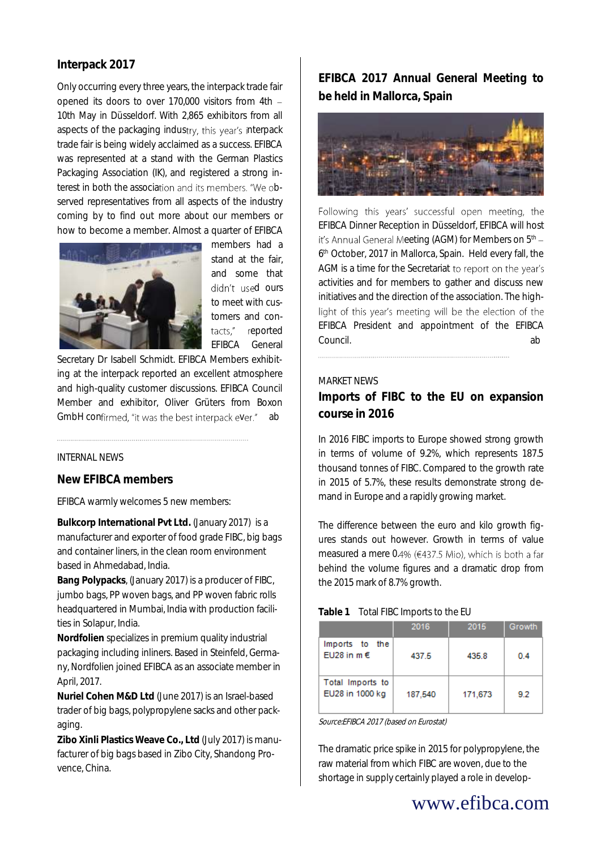## **Interpack 2017**

Only occurring every three years, the interpack trade fair opened its doors to over 170,000 visitors from 4th 10th May in Düsseldorf. With 2,865 exhibitors from all aspects of the packaging industry, this year's interpack trade fair is being widely acclaimed as a success. EFIBCA was represented at a stand with the German Plastics Packaging Association (IK), and registered a strong interest in both the association and its members. "We observed representatives from all aspects of the industry coming by to find out more about our members or how to become a member. Almost a quarter of EFIBCA



members had a stand at the fair and some that didn't used ours to meet with customers and contacts." reported EFIBCA General

Secretary Dr Isabell Schmidt. EFIBCA Members exhibiting at the interpack reported an excellent atmosphere and high-quality customer discussions. EFIBCA Council Member and exhibitor, Oliver Grüters from Boxon GmbH confirmed, "it was the best interpack ever." ab

#### INTERNAL NEWS

### **New EFIBCA members**

EFIBCA warmly welcomes 5 new members:

**Bulkcorp International Pvt Ltd.** (January 2017) is a manufacturer and exporter of food grade FIBC, big bags and container liners, in the clean room environment based in Ahmedabad, India.

**Bang Polypacks**, (January 2017) is a producer of FIBC, jumbo bags, PP woven bags, and PP woven fabric rolls headquartered in Mumbai, India with production facilities in Solapur, India.

**Nordfolien** specializes in premium quality industrial packaging including inliners. Based in Steinfeld, Germany, Nordfolien joined EFIBCA as an associate member in April, 2017.

**Nuriel Cohen M&D Ltd** (June 2017) is an Israel-based trader of big bags, polypropylene sacks and other packaging.

**Zibo Xinli Plastics Weave Co., Ltd** (July 2017) is manufacturer of big bags based in Zibo City, Shandong Provence, China.

## **EFIBCA 2017 Annual General Meeting to be held in Mallorca, Spain**



Following this years' successful open meeting, the EFIBCA Dinner Reception in Düsseldorf, EFIBCA will host it's Annual General Meeting (AGM) for Members on  $5<sup>th</sup>$  -6 th October, 2017 in Mallorca, Spain. Held every fall, the AGM is a time for the Secretariat to report on the year's activities and for members to gather and discuss new initiatives and the direction of the association. The highlight of this year's meeting will be the election of the EFIBCA President and appointment of the EFIBCA Council. About the council of the council about the council about the council about the council about the council about the council about the council about the council about the council about the council about the council

#### MARKET NEWS

**Imports of FIBC to the EU on expansion course in 2016**

In 2016 FIBC imports to Europe showed strong growth in terms of volume of 9.2%, which represents 187.5 thousand tonnes of FIBC. Compared to the growth rate in 2015 of 5.7%, these results demonstrate strong demand in Europe and a rapidly growing market.

The difference between the euro and kilo growth figures stands out however. Growth in terms of value measured a mere 0.4% (€437.5 Mio), which is both a far behind the volume figures and a dramatic drop from the 2015 mark of 8.7% growth.

#### **Table 1** Total FIBC Imports to the EU

|                                     | 2016    | 2015    | Growth |
|-------------------------------------|---------|---------|--------|
| Imports to the<br>EU28 in $m \in$   | 437.5   | 435.8   | 0.4    |
| Total Imports to<br>EU28 in 1000 kg | 187,540 | 171,673 | 9.2    |

Source:EFIBCA 2017 (based on Eurostat)

The dramatic price spike in 2015 for polypropylene, the raw material from which FIBC are woven, due to the shortage in supply certainly played a role in develop-

## www.efibca.com